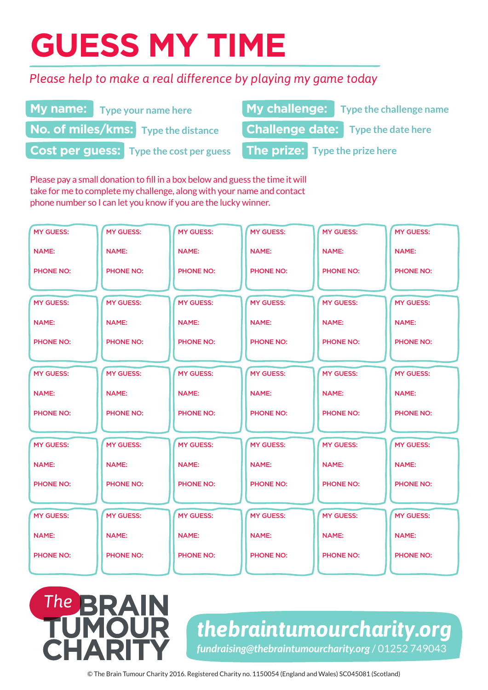# **GUESS MY TIME**

### *Please help to make a real difference by playing my game today*

|                                                | <b>My name:</b> Type your name here        |                                | My challenge: Type the challenge name     |  |
|------------------------------------------------|--------------------------------------------|--------------------------------|-------------------------------------------|--|
|                                                | <b>No. of miles/kms:</b> Type the distance |                                | <b>Challenge date:</b> Type the date here |  |
| <b>Cost per guess:</b> Type the cost per guess |                                            | The prize: Type the prize here |                                           |  |

Please pay a small donation to fill in a box below and guess the time it will take for me to complete my challenge, along with your name and contact phone number so I can let you know if you are the lucky winner.

| <b>MY GUESS:</b> | <b>MY GUESS:</b> | <b>MY GUESS:</b> | <b>MY GUESS:</b> | <b>MY GUESS:</b> | <b>MY GUESS:</b> |
|------------------|------------------|------------------|------------------|------------------|------------------|
| <b>NAME:</b>     | <b>NAME:</b>     | <b>NAME:</b>     | <b>NAME:</b>     | <b>NAME:</b>     | <b>NAME:</b>     |
| <b>PHONE NO:</b> | <b>PHONE NO:</b> | <b>PHONE NO:</b> | <b>PHONE NO:</b> | <b>PHONE NO:</b> | <b>PHONE NO:</b> |
|                  |                  |                  |                  |                  |                  |
| <b>MY GUESS:</b> | <b>MY GUESS:</b> | <b>MY GUESS:</b> | <b>MY GUESS:</b> | <b>MY GUESS:</b> | <b>MY GUESS:</b> |
| <b>NAME:</b>     | <b>NAME:</b>     | <b>NAME:</b>     | <b>NAME:</b>     | <b>NAME:</b>     | <b>NAME:</b>     |
| <b>PHONE NO:</b> | <b>PHONE NO:</b> | <b>PHONE NO:</b> | <b>PHONE NO:</b> | <b>PHONE NO:</b> | <b>PHONE NO:</b> |
|                  |                  |                  |                  |                  |                  |
| <b>MY GUESS:</b> | <b>MY GUESS:</b> | <b>MY GUESS:</b> | <b>MY GUESS:</b> | <b>MY GUESS:</b> | <b>MY GUESS:</b> |
| <b>NAME:</b>     | <b>NAME:</b>     | <b>NAME:</b>     | <b>NAME:</b>     | <b>NAME:</b>     | <b>NAME:</b>     |
| <b>PHONE NO:</b> | <b>PHONE NO:</b> | <b>PHONE NO:</b> | <b>PHONE NO:</b> | <b>PHONE NO:</b> | <b>PHONE NO:</b> |
|                  |                  |                  |                  |                  |                  |
| <b>MY GUESS:</b> | <b>MY GUESS:</b> | <b>MY GUESS:</b> | <b>MY GUESS:</b> | <b>MY GUESS:</b> | <b>MY GUESS:</b> |
| <b>NAME:</b>     | <b>NAME:</b>     | <b>NAME:</b>     | <b>NAME:</b>     | <b>NAME:</b>     | <b>NAME:</b>     |
| <b>PHONE NO:</b> | <b>PHONE NO:</b> | <b>PHONE NO:</b> | <b>PHONE NO:</b> | <b>PHONE NO:</b> | <b>PHONE NO:</b> |
|                  |                  |                  |                  |                  |                  |
| <b>MY GUESS:</b> | <b>MY GUESS:</b> | <b>MY GUESS:</b> | <b>MY GUESS:</b> | <b>MY GUESS:</b> | <b>MY GUESS:</b> |
| <b>NAME:</b>     | <b>NAME:</b>     | <b>NAME:</b>     | <b>NAME:</b>     | <b>NAME:</b>     | <b>NAME:</b>     |
| <b>PHONE NO:</b> | <b>PHONE NO:</b> | <b>PHONE NO:</b> | <b>PHONE NO:</b> | <b>PHONE NO:</b> | <b>PHONE NO:</b> |

## **The PZA**

*thebraintumourcharity.org fundraising@thebraintumourcharity.org* / 01252 749043